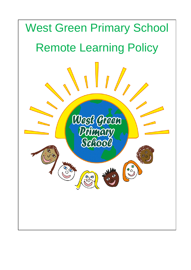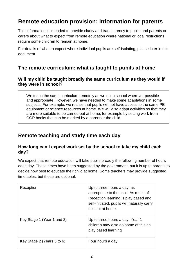# **Remote education provision: information for parents**

This information is intended to provide clarity and transparency to pupils and parents or carers about what to expect from remote education where national or local restrictions require some children to remain at home.

For details of what to expect where individual pupils are self-isolating, please later in this document.

### **The remote curriculum: what is taught to pupils at home**

#### **Will my child be taught broadly the same curriculum as they would if they were in school?**

We teach the same curriculum remotely as we do in school wherever possible and appropriate. However, we have needed to make some adaptations in some subjects. For example, we realise that pupils will not have access to the same PE equipment or science resources at home. We will also adapt activities so that they are more suitable to be carried out at home, for example by setting work from CGP books that can be marked by a parent or the child.

## **Remote teaching and study time each day**

#### **How long can I expect work set by the school to take my child each day?**

We expect that remote education will take pupils broadly the following number of hours each day. These times have been suggested by the government, but it is up to parents to decide how best to educate their child at home. Some teachers may provide suggested timetables, but these are optional.

| Reception                  | Up to three hours a day, as<br>appropriate to the child. As much of<br>Reception learning is play based and<br>self-initiated, pupils will naturally carry<br>this out at home. |
|----------------------------|---------------------------------------------------------------------------------------------------------------------------------------------------------------------------------|
| Key Stage 1 (Year 1 and 2) | Up to three hours a day. Year 1<br>children may also do some of this as<br>play based learning.                                                                                 |
| Key Stage 2 (Years 3 to 6) | Four hours a day                                                                                                                                                                |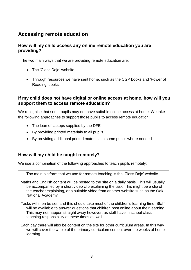## **Accessing remote education**

#### **How will my child access any online remote education you are providing?**

The two main ways that we are providing remote education are:

- The 'Class Doio' website.
- Through resources we have sent home, such as the CGP books and 'Power of Reading' books;

#### **If my child does not have digital or online access at home, how will you support them to access remote education?**

We recognise that some pupils may not have suitable online access at home. We take the following approaches to support those pupils to access remote education:

- The loan of laptops supplied by the DFE
- By providing printed materials to all pupils
- By providing additional printed materials to some pupils where needed

#### **How will my child be taught remotely?**

We use a combination of the following approaches to teach pupils remotely:

The main platform that we use for remote teaching is the 'Class Dojo' website.

Maths and English content will be posted to the site on a daily basis. This will usually be accompanied by a short video clip explaining the task. This might be a clip of the teacher explaining, or a suitable video from another website such as the Oak National Academy.

Tasks will then be set, and this should take most of the children's learning time. Staff will be available to answer questions that children post online about their learning. This may not happen straight away however, as staff have in school class teaching responsibility at these times as well.

Each day there will also be content on the site for other curriculum areas. In this way we will cover the whole of the primary curriculum content over the weeks of home learning.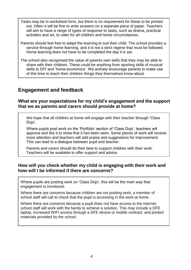Tasks may be in worksheet form, but there is no requirement for these to be printed out. Often it will be fine to write answers on a separate piece of paper. Teachers will aim to have a range of types of response to tasks, such as drama, practical activities and art, to cater for all children and home circumstances.

Parents should feel free to adapt the learning to suit their child. The school provides a service through home learning, and it is not a strict regime that must be followed. Home learning does not have to be completed the day it is set.

The school also recognised the value of parents own skills that they may be able to share with their children. These could be anything from sporting skills of musical skills to DIY and 'home economics'. We actively encourage parents to make use of this time to teach their children things they themselves know about.

### **Engagement and feedback**

#### **What are your expectations for my child's engagement and the support that we as parents and carers should provide at home?**

We hope that all children at home will engage with their teacher through 'Class Dojo'.

Where pupils post work on the 'Portfolio' section of 'Class Dojo', teachers will approve and like it to show that it has been seen. Some pieces of work will receive more attention and teachers will add praise and suggestions for improvement. This can lead to a dialogue between pupil and teacher.

Parents and carers should do their best to support children with their work. Teachers will be available to offer support and advice.

#### **How will you check whether my child is engaging with their work and how will I be informed if there are concerns?**

Where pupils are posting work on 'Class Dojo', this will be the main way that engagement is monitored.

Where there are concerns because children are not posting work, a member of school staff will call to check that the pupil is accessing in the work at home.

Where there are concerns because a pupil does not have access to the internet, school staff will work with the family to achieve a solution. This may include a DFE laptop, increased WIFI access through a DFE device or mobile contract, and printed materials provided by the school.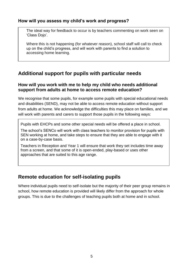#### **How will you assess my child's work and progress?**

The ideal way for feedback to occur is by teachers commenting on work seen on 'Class Dojo'.

Where this is not happening (for whatever reason), school staff will call to check up on the child's progress, and will work with parents to find a solution to accessing home learning.

## **Additional support for pupils with particular needs**

#### **How will you work with me to help my child who needs additional support from adults at home to access remote education?**

We recognise that some pupils, for example some pupils with special educational needs and disabilities (SEND), may not be able to access remote education without support from adults at home. We acknowledge the difficulties this may place on families, and we will work with parents and carers to support those pupils in the following ways:

Pupils with EHCPs and some other special needs will be offered a place in school.

The school's SENCo will work with class teachers to monitor provision for pupils with SEN working at home, and take steps to ensure that they are able to engage with it on a case-by-case basis.

Teachers in Reception and Year 1 will ensure that work they set includes time away from a screen, and that some of it is open-ended, play-based or uses other approaches that are suited to this age range.

### **Remote education for self-isolating pupils**

Where individual pupils need to self-isolate but the majority of their peer group remains in school, how remote education is provided will likely differ from the approach for whole groups. This is due to the challenges of teaching pupils both at home and in school.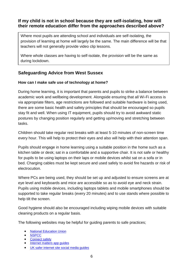#### **If my child is not in school because they are self-isolating, how will their remote education differ from the approaches described above?**

Where most pupils are attending school and individuals are self-isolating, the provision of learning at home will largely be the same. The main difference will be that teachers will not generally provide video clip lessons.

Where whole classes are having to self-isolate, the provision will be the same as during lockdown.

### **Safeguarding Advice from West Sussex**

#### **How can I make safe use of technology at home?**

During home learning, it is important that parents and pupils to strike a balance between academic work and wellbeing development. Alongside ensuring that all Wi-Fi access is via appropriate filters, age restrictions are followed and suitable hardware is being used, there are some basic health and safety principles that should be encouraged so pupils stay fit and well. When using IT equipment, pupils should try to avoid awkward static postures by changing position regularly and getting up/moving and stretching between tasks.

Children should take regular rest breaks with at least 5-10 minutes of non-screen time every hour. This will help to protect their eyes and also will help with their attention span.

Pupils should engage in home learning using a suitable position in the home such as a kitchen table or desk; sat in a comfortable and a supportive chair. It is not safe or healthy for pupils to be using laptops on their laps or mobile devices whilst sat on a sofa or in bed. Charging cables must be kept secure and used safely to avoid fire hazards or risk of electrocution.

Where PCs are being used, they should be set up and adjusted to ensure screens are at eye level and keyboards and mice are accessible so as to avoid eye and neck strain. Pupils using mobile devices, including laptops tablets and mobile smartphones should be supported to take regular breaks (every 20 minutes) and to use stands where possible to help tilt the screen.

Good hygiene should also be encouraged including wiping mobile devices with suitable cleaning products on a regular basis.

The following websites may be helpful for guiding parents to safe practices;

- [National Education Union](https://coronavirusandschools.org.uk/learning-outside-school/)
- **[NSPCC](https://www.nspcc.org.uk/keeping-children-safe/online-safety/)**
- [Connect safely](https://www.connectsafely.org/parentguides/)
- [Internet matters app guides](file:///C:/Users/RCYG8360/AppData/Local/Microsoft/Windows/INetCache/Content.Outlook/F1KBY64O/•%09https:/www.internetmatters.org/resources/apps-guide/)
- [UK safer internet site social media guides](https://www.saferinternet.org.uk/advice-%20centre/social-media-guides)